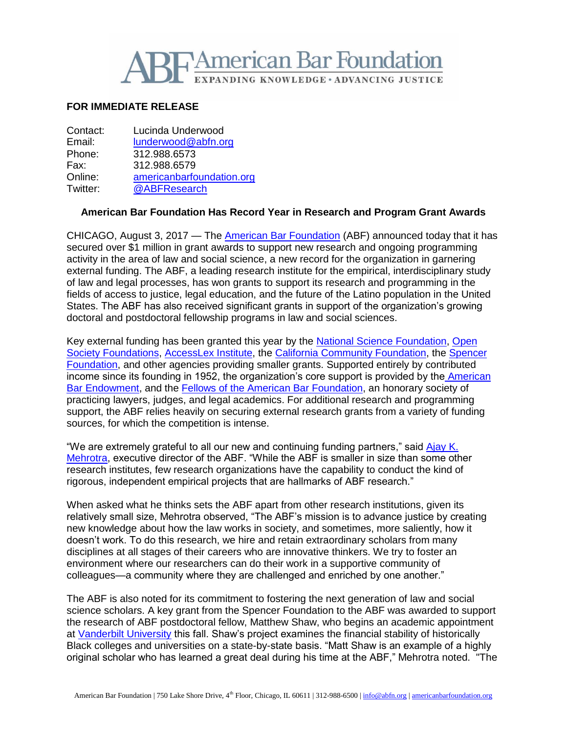

## **FOR IMMEDIATE RELEASE**

| Contact: | Lucinda Underwood         |
|----------|---------------------------|
| Email:   | lunderwood@abfn.org       |
| Phone:   | 312.988.6573              |
| Fax:     | 312.988.6579              |
| Online:  | americanbarfoundation.org |
| Twitter: | @ABFResearch              |

## **American Bar Foundation Has Record Year in Research and Program Grant Awards**

CHICAGO, August 3, 2017 — The [American Bar Foundation](http://www.americanbarfoundation.org/) (ABF) announced today that it has secured over \$1 million in grant awards to support new research and ongoing programming activity in the area of law and social science, a new record for the organization in garnering external funding. The ABF, a leading research institute for the empirical, interdisciplinary study of law and legal processes, has won grants to support its research and programming in the fields of access to justice, legal education, and the future of the Latino population in the United States. The ABF has also received significant grants in support of the organization's growing doctoral and postdoctoral fellowship programs in law and social sciences.

Key external funding has been granted this year by the [National Science Foundation,](https://www.nsf.gov/) [Open](https://www.opensocietyfoundations.org/)  [Society Foundations,](https://www.opensocietyfoundations.org/) [AccessLex Institute,](https://www.accesslex.org/) the [California Community Foundation,](https://www.calfund.org/) th[e Spencer](http://www.spencer.org/)  [Foundation,](http://www.spencer.org/) and other agencies providing smaller grants. Supported entirely by contributed income since its founding in 1952, the organization's core support is provided by the [American](http://www.abendowment.org/)  [Bar Endowment,](http://www.abendowment.org/) and the [Fellows of the American Bar Foundation,](http://www.americanbarfoundation.org/fellows/index.html) an honorary society of practicing lawyers, judges, and legal academics. For additional research and programming support, the ABF relies heavily on securing external research grants from a variety of funding sources, for which the competition is intense.

"We are extremely grateful to all our new and continuing funding partners," said [Ajay K.](http://www.americanbarfoundation.org/faculty/profile/46)  [Mehrotra,](http://www.americanbarfoundation.org/faculty/profile/46) executive director of the ABF. "While the ABF is smaller in size than some other research institutes, few research organizations have the capability to conduct the kind of rigorous, independent empirical projects that are hallmarks of ABF research."

When asked what he thinks sets the ABF apart from other research institutions, given its relatively small size, Mehrotra observed, "The ABF's mission is to advance justice by creating new knowledge about how the law works in society, and sometimes, more saliently, how it doesn't work. To do this research, we hire and retain extraordinary scholars from many disciplines at all stages of their careers who are innovative thinkers. We try to foster an environment where our researchers can do their work in a supportive community of colleagues—a community where they are challenged and enriched by one another."

The ABF is also noted for its commitment to fostering the next generation of law and social science scholars. A key grant from the Spencer Foundation to the ABF was awarded to support the research of ABF postdoctoral fellow, Matthew Shaw, who begins an academic appointment at [Vanderbilt University](https://www.vanderbilt.edu/) this fall. Shaw's project examines the financial stability of historically Black colleges and universities on a state-by-state basis. "Matt Shaw is an example of a highly original scholar who has learned a great deal during his time at the ABF," Mehrotra noted. "The